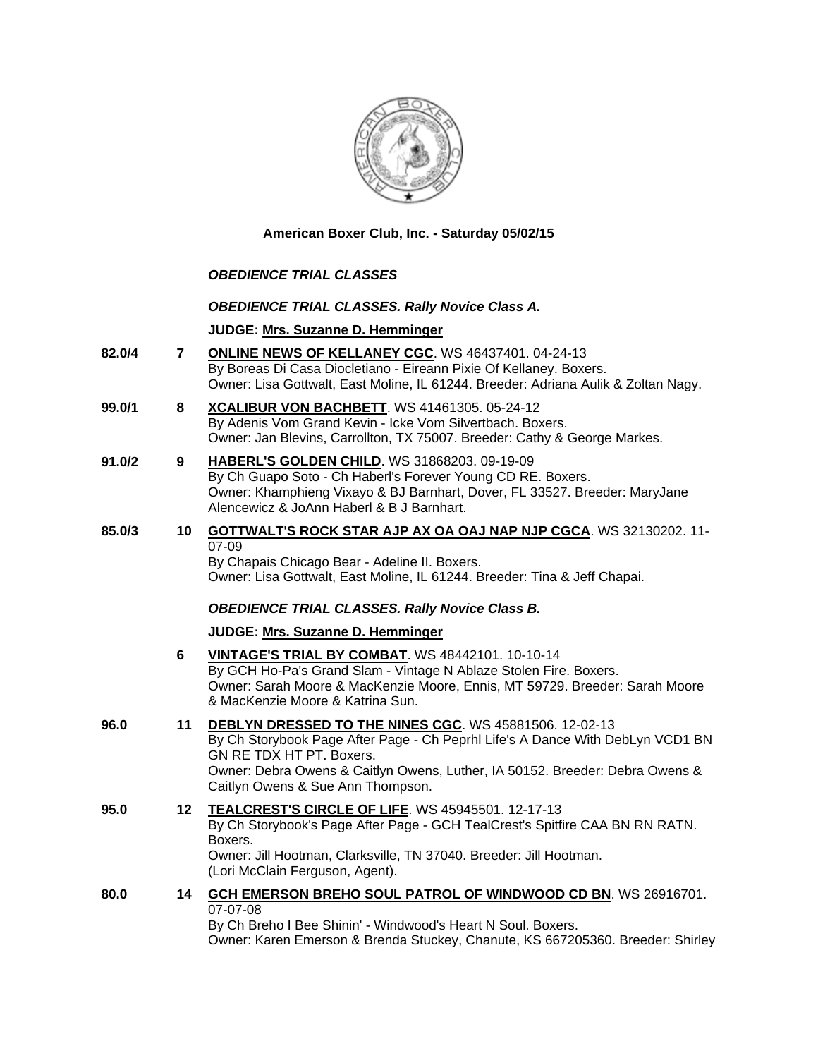

**American Boxer Club, Inc. - Saturday 05/02/15** 

# *OBEDIENCE TRIAL CLASSES*

### *OBEDIENCE TRIAL CLASSES. Rally Novice Class A.*

# **JUDGE: [Mrs. Suzanne D. Hemminger](http://www.infodog.com/judges/15146/juddat.htm)**

- **82.0/4 7 [ONLINE NEWS OF KELLANEY CGC](http://www.infodog.com/files/bdogrsl1.prg;makc=WS%2046437401;mdog=Online_News_Of_Kellaney_CGC;wins=all)**. WS 46437401. 04-24-13 By Boreas Di Casa Diocletiano - Eireann Pixie Of Kellaney. Boxers. Owner: Lisa Gottwalt, East Moline, IL 61244. Breeder: Adriana Aulik & Zoltan Nagy.
- **99.0/1 8 [XCALIBUR VON BACHBETT](http://www.infodog.com/files/bdogrsl1.prg;makc=WS%2041461305;mdog=Xcalibur_Von_Bachbett;wins=all)**. WS 41461305. 05-24-12 By Adenis Vom Grand Kevin - Icke Vom Silvertbach. Boxers. Owner: Jan Blevins, Carrollton, TX 75007. Breeder: Cathy & George Markes.
- **91.0/2 9 [HABERL'S GOLDEN CHILD](http://www.infodog.com/files/bdogrsl1.prg;makc=WS%2031868203;mdog=Haberl_s_Golden_Child;wins=all)**. WS 31868203. 09-19-09 By Ch Guapo Soto - Ch Haberl's Forever Young CD RE. Boxers. Owner: Khamphieng Vixayo & BJ Barnhart, Dover, FL 33527. Breeder: MaryJane Alencewicz & JoAnn Haberl & B J Barnhart.

#### **85.0/3 10 [GOTTWALT'S ROCK STAR AJP AX OA OAJ NAP NJP CGCA](http://www.infodog.com/files/bdogrsl1.prg;makc=WS%2032130202;mdog=Gottwalt_s_Rock_Star_AJP_AX_OA_OAJ_NAP_NJP_CGCA;wins=all)**. WS 32130202. 11- 07-09 By Chapais Chicago Bear - Adeline II. Boxers.

Owner: Lisa Gottwalt, East Moline, IL 61244. Breeder: Tina & Jeff Chapai.

# *OBEDIENCE TRIAL CLASSES. Rally Novice Class B.*

### **JUDGE: [Mrs. Suzanne D. Hemminger](http://www.infodog.com/judges/15146/juddat.htm)**

|      | 6  | <b>VINTAGE'S TRIAL BY COMBAT.</b> WS 48442101. 10-10-14<br>By GCH Ho-Pa's Grand Slam - Vintage N Ablaze Stolen Fire. Boxers.<br>Owner: Sarah Moore & MacKenzie Moore, Ennis, MT 59729. Breeder: Sarah Moore<br>& MacKenzie Moore & Katrina Sun.                                           |
|------|----|-------------------------------------------------------------------------------------------------------------------------------------------------------------------------------------------------------------------------------------------------------------------------------------------|
| 96.0 | 11 | DEBLYN DRESSED TO THE NINES CGC. WS 45881506. 12-02-13<br>By Ch Storybook Page After Page - Ch Peprhl Life's A Dance With DebLyn VCD1 BN<br>GN RE TDX HT PT. Boxers.<br>Owner: Debra Owens & Caitlyn Owens, Luther, IA 50152. Breeder: Debra Owens &<br>Caitlyn Owens & Sue Ann Thompson. |
| 95.0 |    | 12 TEALCREST'S CIRCLE OF LIFE. WS 45945501. 12-17-13<br>By Ch Storybook's Page After Page - GCH TealCrest's Spitfire CAA BN RN RATN.<br>Boxers.<br>Owner: Jill Hootman, Clarksville, TN 37040. Breeder: Jill Hootman.<br>(Lori McClain Ferguson, Agent).                                  |
| 80.0 | 14 | GCH EMERSON BREHO SOUL PATROL OF WINDWOOD CD BN. WS 26916701.<br>07-07-08                                                                                                                                                                                                                 |

By Ch Breho I Bee Shinin' - Windwood's Heart N Soul. Boxers. Owner: Karen Emerson & Brenda Stuckey, Chanute, KS 667205360. Breeder: Shirley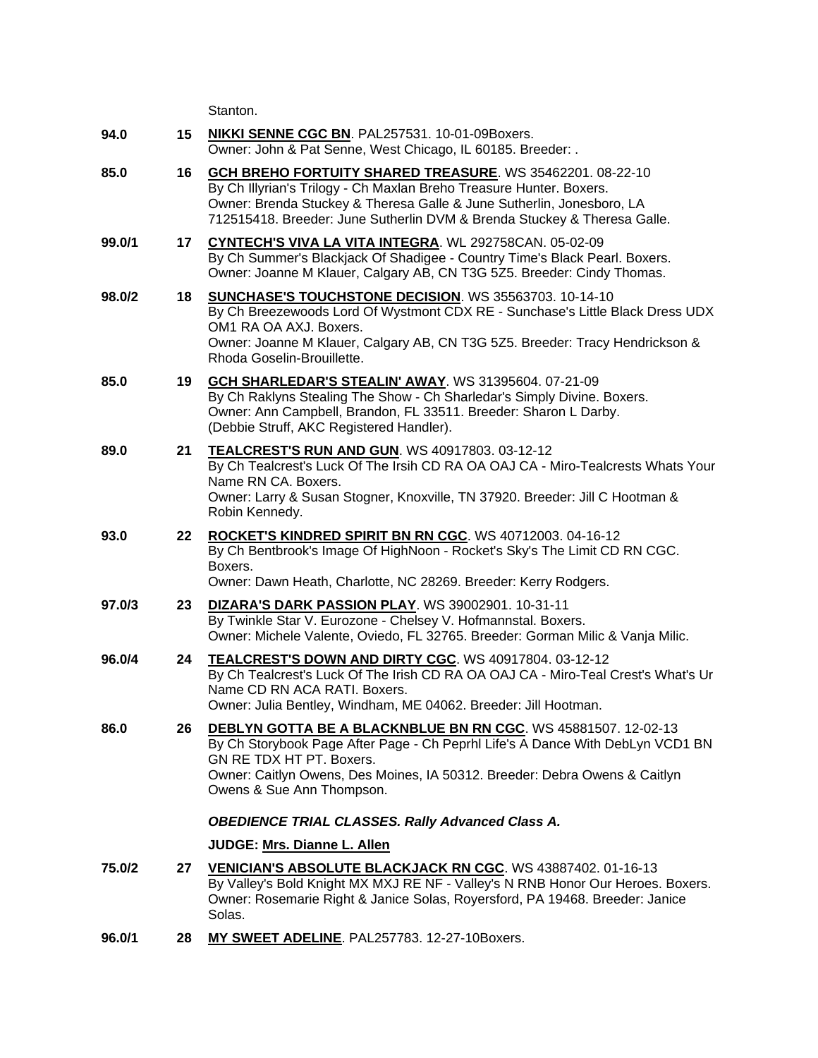|        |    | Stanton.                                                                                                                                                                                                                                                                               |
|--------|----|----------------------------------------------------------------------------------------------------------------------------------------------------------------------------------------------------------------------------------------------------------------------------------------|
| 94.0   | 15 | NIKKI SENNE CGC BN. PAL257531. 10-01-09Boxers.<br>Owner: John & Pat Senne, West Chicago, IL 60185. Breeder: .                                                                                                                                                                          |
| 85.0   | 16 | GCH BREHO FORTUITY SHARED TREASURE. WS 35462201. 08-22-10<br>By Ch Illyrian's Trilogy - Ch Maxlan Breho Treasure Hunter. Boxers.<br>Owner: Brenda Stuckey & Theresa Galle & June Sutherlin, Jonesboro, LA<br>712515418. Breeder: June Sutherlin DVM & Brenda Stuckey & Theresa Galle.  |
| 99.0/1 | 17 | CYNTECH'S VIVA LA VITA INTEGRA. WL 292758CAN. 05-02-09<br>By Ch Summer's Blackjack Of Shadigee - Country Time's Black Pearl. Boxers.<br>Owner: Joanne M Klauer, Calgary AB, CN T3G 5Z5. Breeder: Cindy Thomas.                                                                         |
| 98.0/2 | 18 | SUNCHASE'S TOUCHSTONE DECISION. WS 35563703. 10-14-10<br>By Ch Breezewoods Lord Of Wystmont CDX RE - Sunchase's Little Black Dress UDX<br>OM1 RA OA AXJ. Boxers.<br>Owner: Joanne M Klauer, Calgary AB, CN T3G 5Z5. Breeder: Tracy Hendrickson &<br>Rhoda Goselin-Brouillette.         |
| 85.0   | 19 | <b>GCH SHARLEDAR'S STEALIN' AWAY. WS 31395604. 07-21-09</b><br>By Ch Raklyns Stealing The Show - Ch Sharledar's Simply Divine. Boxers.<br>Owner: Ann Campbell, Brandon, FL 33511. Breeder: Sharon L Darby.<br>(Debbie Struff, AKC Registered Handler).                                 |
| 89.0   | 21 | TEALCREST'S RUN AND GUN. WS 40917803. 03-12-12<br>By Ch Tealcrest's Luck Of The Irsih CD RA OA OAJ CA - Miro-Tealcrests Whats Your<br>Name RN CA. Boxers.<br>Owner: Larry & Susan Stogner, Knoxville, TN 37920. Breeder: Jill C Hootman &<br>Robin Kennedy.                            |
| 93.0   | 22 | ROCKET'S KINDRED SPIRIT BN RN CGC. WS 40712003. 04-16-12<br>By Ch Bentbrook's Image Of HighNoon - Rocket's Sky's The Limit CD RN CGC.<br>Boxers.<br>Owner: Dawn Heath, Charlotte, NC 28269. Breeder: Kerry Rodgers.                                                                    |
| 97.0/3 | 23 | <b>DIZARA'S DARK PASSION PLAY. WS 39002901. 10-31-11</b><br>By Twinkle Star V. Eurozone - Chelsey V. Hofmannstal. Boxers.<br>Owner: Michele Valente, Oviedo, FL 32765. Breeder: Gorman Milic & Vanja Milic.                                                                            |
| 96.0/4 | 24 | TEALCREST'S DOWN AND DIRTY CGC. WS 40917804. 03-12-12<br>By Ch Tealcrest's Luck Of The Irish CD RA OA OAJ CA - Miro-Teal Crest's What's Ur<br>Name CD RN ACA RATI. Boxers.<br>Owner: Julia Bentley, Windham, ME 04062. Breeder: Jill Hootman.                                          |
| 86.0   | 26 | DEBLYN GOTTA BE A BLACKNBLUE BN RN CGC. WS 45881507. 12-02-13<br>By Ch Storybook Page After Page - Ch Peprhl Life's A Dance With DebLyn VCD1 BN<br>GN RE TDX HT PT. Boxers.<br>Owner: Caitlyn Owens, Des Moines, IA 50312. Breeder: Debra Owens & Caitlyn<br>Owens & Sue Ann Thompson. |
|        |    | <b>OBEDIENCE TRIAL CLASSES. Rally Advanced Class A.</b>                                                                                                                                                                                                                                |
|        |    | JUDGE: Mrs. Dianne L. Allen                                                                                                                                                                                                                                                            |
| 75.0/2 | 27 | <b>VENICIAN'S ABSOLUTE BLACKJACK RN CGC. WS 43887402. 01-16-13</b><br>By Valley's Bold Knight MX MXJ RE NF - Valley's N RNB Honor Our Heroes. Boxers.<br>Owner: Rosemarie Right & Janice Solas, Royersford, PA 19468. Breeder: Janice<br>Solas.                                        |
| 96.0/1 | 28 | MY SWEET ADELINE. PAL257783. 12-27-10Boxers.                                                                                                                                                                                                                                           |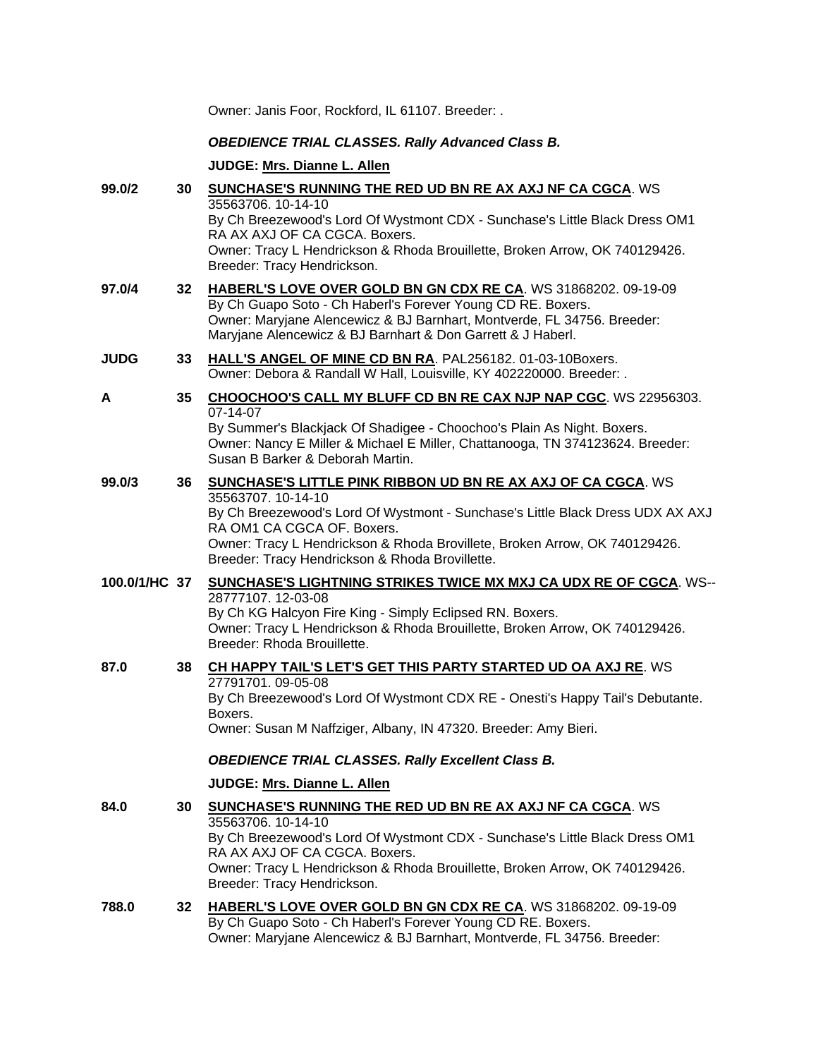|               |    | Owner: Janis Foor, Rockford, IL 61107. Breeder: .                                                                                                                                                                                                                                                                                         |
|---------------|----|-------------------------------------------------------------------------------------------------------------------------------------------------------------------------------------------------------------------------------------------------------------------------------------------------------------------------------------------|
|               |    | <b>OBEDIENCE TRIAL CLASSES. Rally Advanced Class B.</b>                                                                                                                                                                                                                                                                                   |
|               |    | JUDGE: Mrs. Dianne L. Allen                                                                                                                                                                                                                                                                                                               |
| 99.0/2        | 30 | <b>SUNCHASE'S RUNNING THE RED UD BN RE AX AXJ NF CA CGCA. WS</b><br>35563706. 10-14-10<br>By Ch Breezewood's Lord Of Wystmont CDX - Sunchase's Little Black Dress OM1<br>RA AX AXJ OF CA CGCA. Boxers.                                                                                                                                    |
|               |    | Owner: Tracy L Hendrickson & Rhoda Brouillette, Broken Arrow, OK 740129426.<br>Breeder: Tracy Hendrickson.                                                                                                                                                                                                                                |
| 97.0/4        | 32 | HABERL'S LOVE OVER GOLD BN GN CDX RE CA. WS 31868202. 09-19-09<br>By Ch Guapo Soto - Ch Haberl's Forever Young CD RE. Boxers.<br>Owner: Maryjane Alencewicz & BJ Barnhart, Montverde, FL 34756. Breeder:<br>Maryjane Alencewicz & BJ Barnhart & Don Garrett & J Haberl.                                                                   |
| <b>JUDG</b>   | 33 | HALL'S ANGEL OF MINE CD BN RA. PAL256182. 01-03-10Boxers.<br>Owner: Debora & Randall W Hall, Louisville, KY 402220000. Breeder: .                                                                                                                                                                                                         |
| Α             | 35 | CHOOCHOO'S CALL MY BLUFF CD BN RE CAX NJP NAP CGC. WS 22956303.<br>07-14-07<br>By Summer's Blackjack Of Shadigee - Choochoo's Plain As Night. Boxers.<br>Owner: Nancy E Miller & Michael E Miller, Chattanooga, TN 374123624. Breeder:<br>Susan B Barker & Deborah Martin.                                                                |
| 99.0/3        | 36 | <b>SUNCHASE'S LITTLE PINK RIBBON UD BN RE AX AXJ OF CA CGCA. WS</b><br>35563707.10-14-10<br>By Ch Breezewood's Lord Of Wystmont - Sunchase's Little Black Dress UDX AX AXJ<br>RA OM1 CA CGCA OF. Boxers.<br>Owner: Tracy L Hendrickson & Rhoda Brovillete, Broken Arrow, OK 740129426.<br>Breeder: Tracy Hendrickson & Rhoda Brovillette. |
| 100.0/1/HC 37 |    | <b>SUNCHASE'S LIGHTNING STRIKES TWICE MX MXJ CA UDX RE OF CGCA. WS--</b><br>28777107.12-03-08<br>By Ch KG Halcyon Fire King - Simply Eclipsed RN. Boxers.<br>Owner: Tracy L Hendrickson & Rhoda Brouillette, Broken Arrow, OK 740129426.<br>Breeder: Rhoda Brouillette.                                                                   |
| 87.0          | 38 | CH HAPPY TAIL'S LET'S GET THIS PARTY STARTED UD OA AXJ RE. WS<br>27791701.09-05-08<br>By Ch Breezewood's Lord Of Wystmont CDX RE - Onesti's Happy Tail's Debutante.<br>Boxers.<br>Owner: Susan M Naffziger, Albany, IN 47320. Breeder: Amy Bieri.                                                                                         |
|               |    | <b>OBEDIENCE TRIAL CLASSES. Rally Excellent Class B.</b>                                                                                                                                                                                                                                                                                  |
|               |    | JUDGE: Mrs. Dianne L. Allen                                                                                                                                                                                                                                                                                                               |
| 84.0          | 30 | <b>SUNCHASE'S RUNNING THE RED UD BN RE AX AXJ NF CA CGCA. WS</b><br>35563706. 10-14-10<br>By Ch Breezewood's Lord Of Wystmont CDX - Sunchase's Little Black Dress OM1<br>RA AX AXJ OF CA CGCA, Boxers,<br>Owner: Tracy L Hendrickson & Rhoda Brouillette, Broken Arrow, OK 740129426.<br>Breeder: Tracy Hendrickson.                      |
| 788.0         | 32 | HABERL'S LOVE OVER GOLD BN GN CDX RE CA. WS 31868202. 09-19-09<br>By Ch Guapo Soto - Ch Haberl's Forever Young CD RE. Boxers.<br>Owner: Maryjane Alencewicz & BJ Barnhart, Montverde, FL 34756. Breeder:                                                                                                                                  |